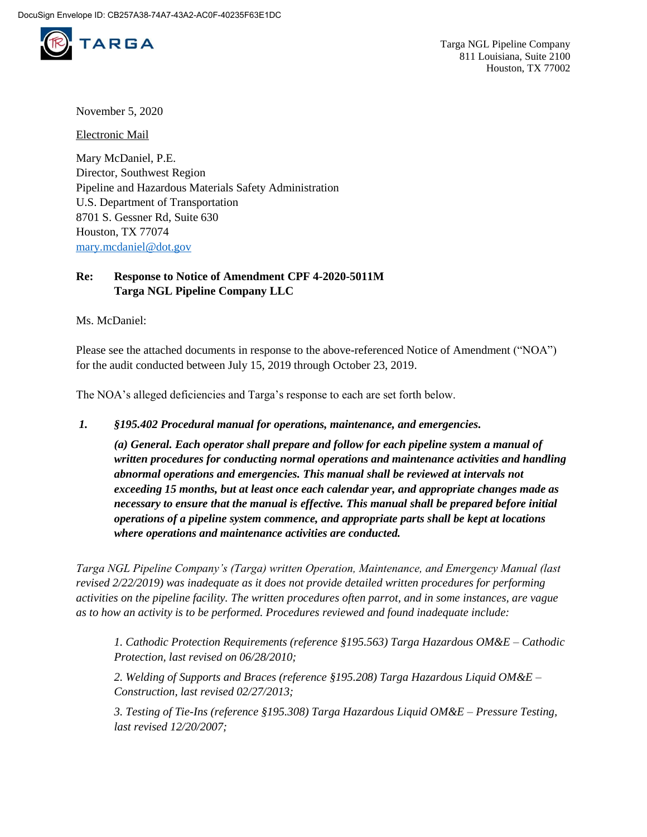

November 5, 2020

Electronic Mail

Mary McDaniel, P.E. Director, Southwest Region Pipeline and Hazardous Materials Safety Administration U.S. Department of Transportation 8701 S. Gessner Rd, Suite 630 Houston, TX 77074 [mary.mcdaniel@dot.gov](mailto:mary.mcdaniel@dot.gov)

## **Re: Response to Notice of Amendment CPF 4-2020-5011M Targa NGL Pipeline Company LLC**

Ms. McDaniel:

Please see the attached documents in response to the above-referenced Notice of Amendment ("NOA") for the audit conducted between July 15, 2019 through October 23, 2019.

The NOA's alleged deficiencies and Targa's response to each are set forth below.

*1. §195.402 Procedural manual for operations, maintenance, and emergencies.* 

*(a) General. Each operator shall prepare and follow for each pipeline system a manual of written procedures for conducting normal operations and maintenance activities and handling abnormal operations and emergencies. This manual shall be reviewed at intervals not exceeding 15 months, but at least once each calendar year, and appropriate changes made as necessary to ensure that the manual is effective. This manual shall be prepared before initial operations of a pipeline system commence, and appropriate parts shall be kept at locations where operations and maintenance activities are conducted.*

*Targa NGL Pipeline Company's (Targa) written Operation, Maintenance, and Emergency Manual (last revised 2/22/2019) was inadequate as it does not provide detailed written procedures for performing activities on the pipeline facility. The written procedures often parrot, and in some instances, are vague as to how an activity is to be performed. Procedures reviewed and found inadequate include:* 

*1. Cathodic Protection Requirements (reference §195.563) Targa Hazardous OM&E – Cathodic Protection, last revised on 06/28/2010;* 

*2. Welding of Supports and Braces (reference §195.208) Targa Hazardous Liquid OM&E – Construction, last revised 02/27/2013;* 

*3. Testing of Tie-Ins (reference §195.308) Targa Hazardous Liquid OM&E – Pressure Testing, last revised 12/20/2007;*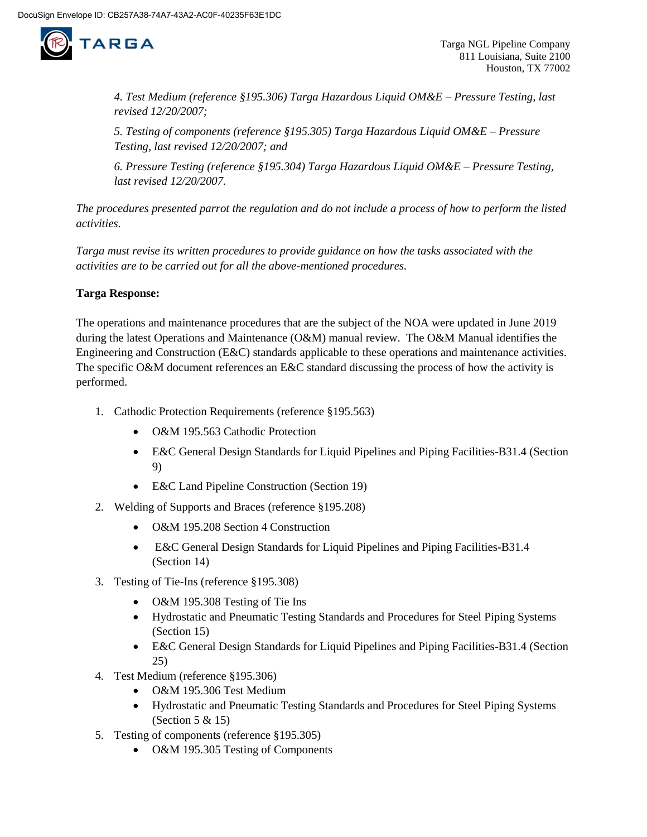

*4. Test Medium (reference §195.306) Targa Hazardous Liquid OM&E – Pressure Testing, last revised 12/20/2007;* 

*5. Testing of components (reference §195.305) Targa Hazardous Liquid OM&E – Pressure Testing, last revised 12/20/2007; and* 

*6. Pressure Testing (reference §195.304) Targa Hazardous Liquid OM&E – Pressure Testing, last revised 12/20/2007.* 

*The procedures presented parrot the regulation and do not include a process of how to perform the listed activities.*

*Targa must revise its written procedures to provide guidance on how the tasks associated with the activities are to be carried out for all the above-mentioned procedures.*

## **Targa Response:**

The operations and maintenance procedures that are the subject of the NOA were updated in June 2019 during the latest Operations and Maintenance (O&M) manual review. The O&M Manual identifies the Engineering and Construction (E&C) standards applicable to these operations and maintenance activities. The specific O&M document references an E&C standard discussing the process of how the activity is performed.

- 1. Cathodic Protection Requirements (reference §195.563)
	- O&M 195.563 Cathodic Protection
	- E&C General Design Standards for Liquid Pipelines and Piping Facilities-B31.4 (Section 9)
	- E&C Land Pipeline Construction (Section 19)
- 2. Welding of Supports and Braces (reference §195.208)
	- O&M 195.208 Section 4 Construction
	- E&C General Design Standards for Liquid Pipelines and Piping Facilities-B31.4 (Section 14)
- 3. Testing of Tie-Ins (reference §195.308)
	- O&M 195.308 Testing of Tie Ins
	- Hydrostatic and Pneumatic Testing Standards and Procedures for Steel Piping Systems (Section 15)
	- E&C General Design Standards for Liquid Pipelines and Piping Facilities-B31.4 (Section 25)
- 4. Test Medium (reference §195.306)
	- O&M 195.306 Test Medium
	- Hydrostatic and Pneumatic Testing Standards and Procedures for Steel Piping Systems (Section 5 & 15)
- 5. Testing of components (reference §195.305)
	- O&M 195.305 Testing of Components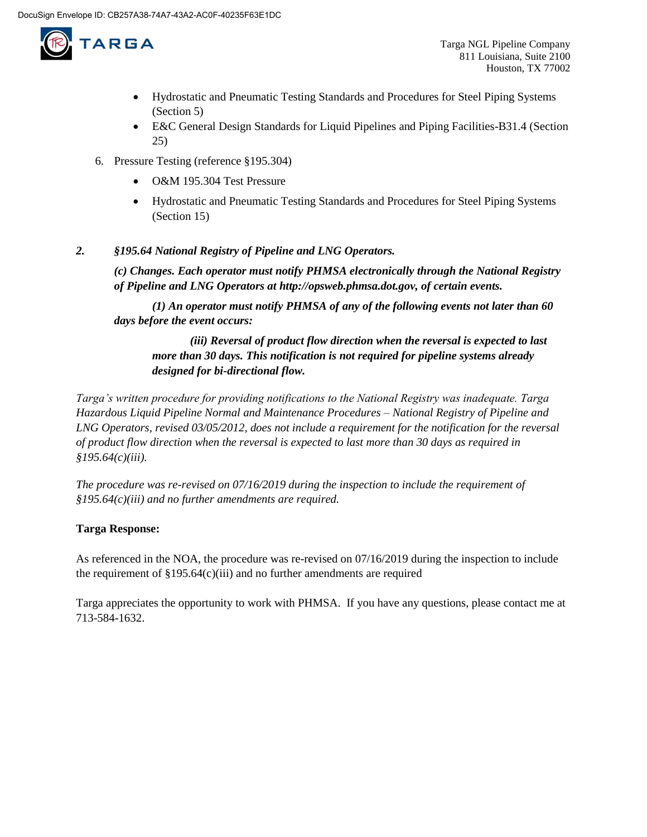

- Hydrostatic and Pneumatic Testing Standards and Procedures for Steel Piping Systems (Section 5)
- E&C General Design Standards for Liquid Pipelines and Piping Facilities-B31.4 (Section 25)
- 6. Pressure Testing (reference §195.304)
	- O&M 195.304 Test Pressure
	- Hydrostatic and Pneumatic Testing Standards and Procedures for Steel Piping Systems (Section 15)

## *2. §195.64 National Registry of Pipeline and LNG Operators.*

*(c) Changes. Each operator must notify PHMSA electronically through the National Registry of Pipeline and LNG Operators at http://opsweb.phmsa.dot.gov, of certain events.* 

*(1) An operator must notify PHMSA of any of the following events not later than 60 days before the event occurs:* 

*(iii) Reversal of product flow direction when the reversal is expected to last more than 30 days. This notification is not required for pipeline systems already designed for bi-directional flow.*

*Targa's written procedure for providing notifications to the National Registry was inadequate. Targa Hazardous Liquid Pipeline Normal and Maintenance Procedures – National Registry of Pipeline and LNG Operators, revised 03/05/2012, does not include a requirement for the notification for the reversal of product flow direction when the reversal is expected to last more than 30 days as required in §195.64(c)(iii).*

*The procedure was re-revised on 07/16/2019 during the inspection to include the requirement of §195.64(c)(iii) and no further amendments are required.*

## **Targa Response:**

As referenced in the NOA, the procedure was re-revised on 07/16/2019 during the inspection to include the requirement of  $\S 195.64(c)(iii)$  and no further amendments are required

Targa appreciates the opportunity to work with PHMSA. If you have any questions, please contact me at 713-584-1632.